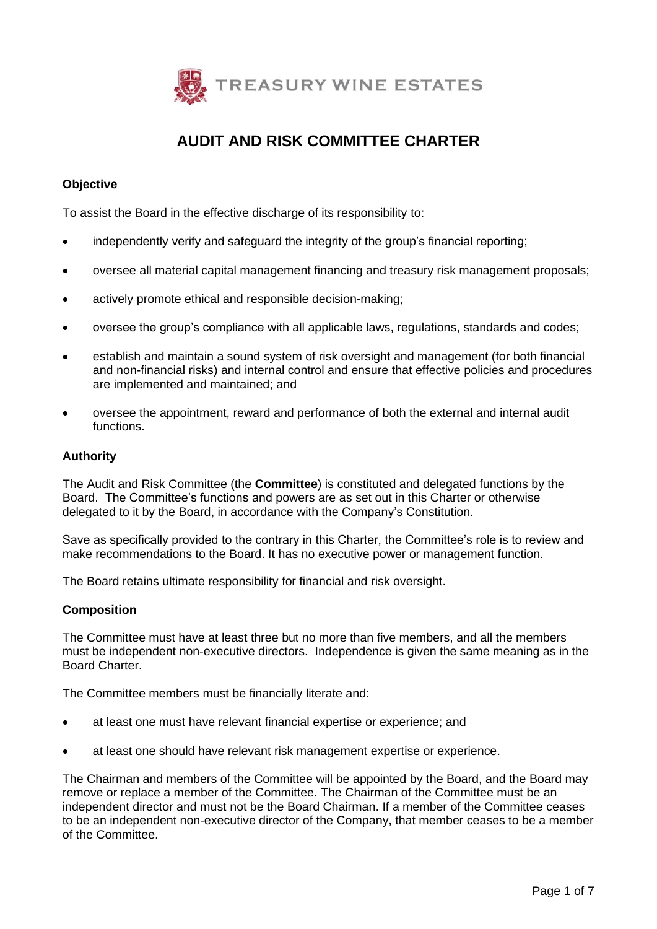

# **AUDIT AND RISK COMMITTEE CHARTER**

# **Objective**

To assist the Board in the effective discharge of its responsibility to:

- independently verify and safeguard the integrity of the group's financial reporting;
- oversee all material capital management financing and treasury risk management proposals;
- actively promote ethical and responsible decision-making;
- oversee the group's compliance with all applicable laws, regulations, standards and codes;
- establish and maintain a sound system of risk oversight and management (for both financial and non-financial risks) and internal control and ensure that effective policies and procedures are implemented and maintained; and
- oversee the appointment, reward and performance of both the external and internal audit functions.

## **Authority**

The Audit and Risk Committee (the **Committee**) is constituted and delegated functions by the Board. The Committee's functions and powers are as set out in this Charter or otherwise delegated to it by the Board, in accordance with the Company's Constitution.

Save as specifically provided to the contrary in this Charter, the Committee's role is to review and make recommendations to the Board. It has no executive power or management function.

The Board retains ultimate responsibility for financial and risk oversight.

#### **Composition**

The Committee must have at least three but no more than five members, and all the members must be independent non-executive directors. Independence is given the same meaning as in the Board Charter.

The Committee members must be financially literate and:

- at least one must have relevant financial expertise or experience; and
- at least one should have relevant risk management expertise or experience.

The Chairman and members of the Committee will be appointed by the Board, and the Board may remove or replace a member of the Committee. The Chairman of the Committee must be an independent director and must not be the Board Chairman. If a member of the Committee ceases to be an independent non-executive director of the Company, that member ceases to be a member of the Committee.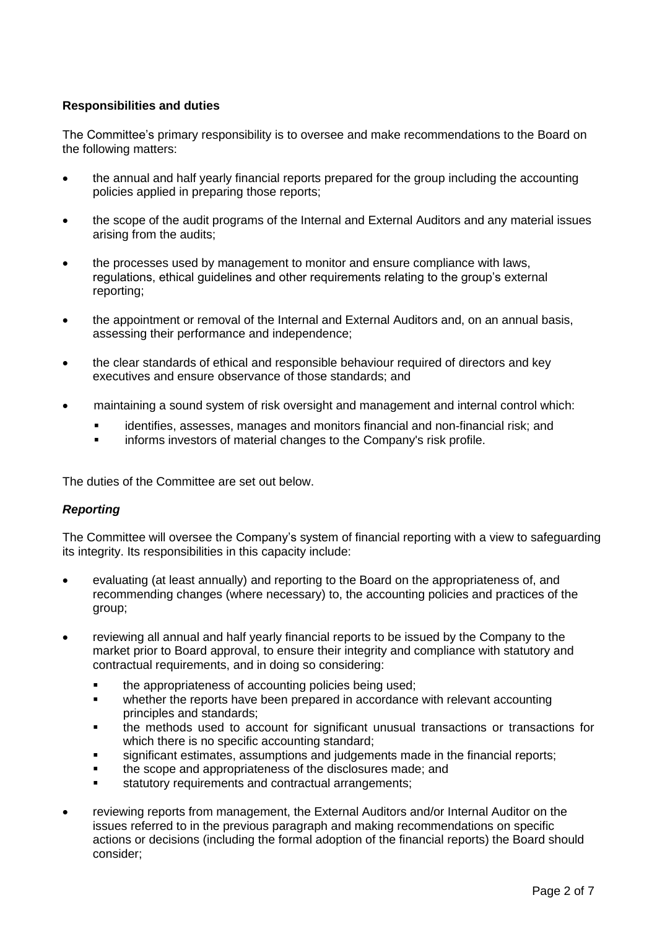# **Responsibilities and duties**

The Committee's primary responsibility is to oversee and make recommendations to the Board on the following matters:

- the annual and half yearly financial reports prepared for the group including the accounting policies applied in preparing those reports;
- the scope of the audit programs of the Internal and External Auditors and any material issues arising from the audits;
- the processes used by management to monitor and ensure compliance with laws. regulations, ethical guidelines and other requirements relating to the group's external reporting;
- the appointment or removal of the Internal and External Auditors and, on an annual basis, assessing their performance and independence;
- the clear standards of ethical and responsible behaviour required of directors and key executives and ensure observance of those standards; and
- maintaining a sound system of risk oversight and management and internal control which:
	- identifies, assesses, manages and monitors financial and non-financial risk; and
	- informs investors of material changes to the Company's risk profile.

The duties of the Committee are set out below.

# *Reporting*

The Committee will oversee the Company's system of financial reporting with a view to safeguarding its integrity. Its responsibilities in this capacity include:

- evaluating (at least annually) and reporting to the Board on the appropriateness of, and recommending changes (where necessary) to, the accounting policies and practices of the group;
- reviewing all annual and half yearly financial reports to be issued by the Company to the market prior to Board approval, to ensure their integrity and compliance with statutory and contractual requirements, and in doing so considering:
	- the appropriateness of accounting policies being used;
	- whether the reports have been prepared in accordance with relevant accounting principles and standards;
	- the methods used to account for significant unusual transactions or transactions for which there is no specific accounting standard;
	- significant estimates, assumptions and judgements made in the financial reports;
	- the scope and appropriateness of the disclosures made; and
	- statutory requirements and contractual arrangements;
- reviewing reports from management, the External Auditors and/or Internal Auditor on the issues referred to in the previous paragraph and making recommendations on specific actions or decisions (including the formal adoption of the financial reports) the Board should consider;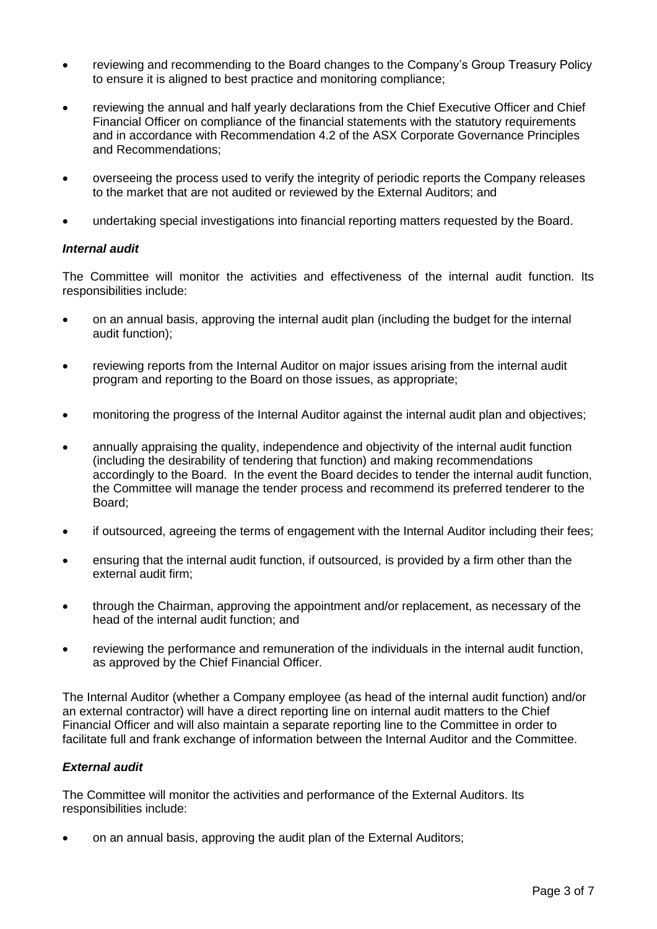- reviewing and recommending to the Board changes to the Company's Group Treasury Policy to ensure it is aligned to best practice and monitoring compliance;
- reviewing the annual and half yearly declarations from the Chief Executive Officer and Chief Financial Officer on compliance of the financial statements with the statutory requirements and in accordance with Recommendation 4.2 of the ASX Corporate Governance Principles and Recommendations;
- overseeing the process used to verify the integrity of periodic reports the Company releases to the market that are not audited or reviewed by the External Auditors; and
- undertaking special investigations into financial reporting matters requested by the Board.

## *Internal audit*

The Committee will monitor the activities and effectiveness of the internal audit function. Its responsibilities include:

- on an annual basis, approving the internal audit plan (including the budget for the internal audit function);
- reviewing reports from the Internal Auditor on major issues arising from the internal audit program and reporting to the Board on those issues, as appropriate;
- monitoring the progress of the Internal Auditor against the internal audit plan and objectives;
- annually appraising the quality, independence and objectivity of the internal audit function (including the desirability of tendering that function) and making recommendations accordingly to the Board. In the event the Board decides to tender the internal audit function, the Committee will manage the tender process and recommend its preferred tenderer to the Board;
- if outsourced, agreeing the terms of engagement with the Internal Auditor including their fees;
- ensuring that the internal audit function, if outsourced, is provided by a firm other than the external audit firm;
- through the Chairman, approving the appointment and/or replacement, as necessary of the head of the internal audit function; and
- reviewing the performance and remuneration of the individuals in the internal audit function, as approved by the Chief Financial Officer.

The Internal Auditor (whether a Company employee (as head of the internal audit function) and/or an external contractor) will have a direct reporting line on internal audit matters to the Chief Financial Officer and will also maintain a separate reporting line to the Committee in order to facilitate full and frank exchange of information between the Internal Auditor and the Committee.

# *External audit*

The Committee will monitor the activities and performance of the External Auditors. Its responsibilities include:

• on an annual basis, approving the audit plan of the External Auditors;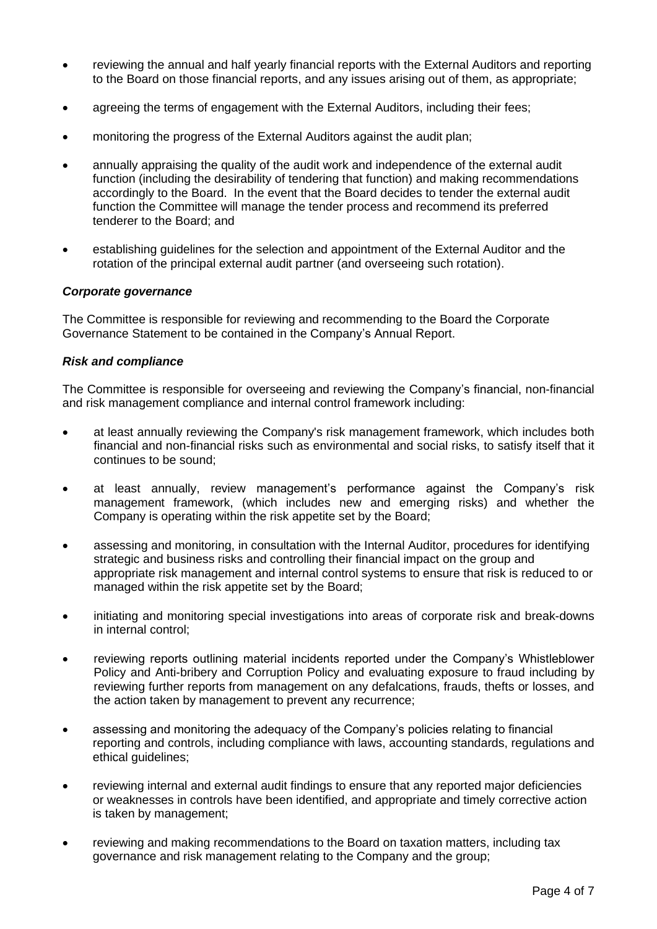- reviewing the annual and half yearly financial reports with the External Auditors and reporting to the Board on those financial reports, and any issues arising out of them, as appropriate;
- agreeing the terms of engagement with the External Auditors, including their fees;
- monitoring the progress of the External Auditors against the audit plan;
- annually appraising the quality of the audit work and independence of the external audit function (including the desirability of tendering that function) and making recommendations accordingly to the Board. In the event that the Board decides to tender the external audit function the Committee will manage the tender process and recommend its preferred tenderer to the Board; and
- establishing guidelines for the selection and appointment of the External Auditor and the rotation of the principal external audit partner (and overseeing such rotation).

#### *Corporate governance*

The Committee is responsible for reviewing and recommending to the Board the Corporate Governance Statement to be contained in the Company's Annual Report.

#### *Risk and compliance*

The Committee is responsible for overseeing and reviewing the Company's financial, non-financial and risk management compliance and internal control framework including:

- at least annually reviewing the Company's risk management framework, which includes both financial and non-financial risks such as environmental and social risks, to satisfy itself that it continues to be sound;
- at least annually, review management's performance against the Company's risk management framework, (which includes new and emerging risks) and whether the Company is operating within the risk appetite set by the Board;
- assessing and monitoring, in consultation with the Internal Auditor, procedures for identifying strategic and business risks and controlling their financial impact on the group and appropriate risk management and internal control systems to ensure that risk is reduced to or managed within the risk appetite set by the Board;
- initiating and monitoring special investigations into areas of corporate risk and break-downs in internal control;
- reviewing reports outlining material incidents reported under the Company's Whistleblower Policy and Anti-bribery and Corruption Policy and evaluating exposure to fraud including by reviewing further reports from management on any defalcations, frauds, thefts or losses, and the action taken by management to prevent any recurrence;
- assessing and monitoring the adequacy of the Company's policies relating to financial reporting and controls, including compliance with laws, accounting standards, regulations and ethical guidelines;
- reviewing internal and external audit findings to ensure that any reported major deficiencies or weaknesses in controls have been identified, and appropriate and timely corrective action is taken by management;
- reviewing and making recommendations to the Board on taxation matters, including tax governance and risk management relating to the Company and the group;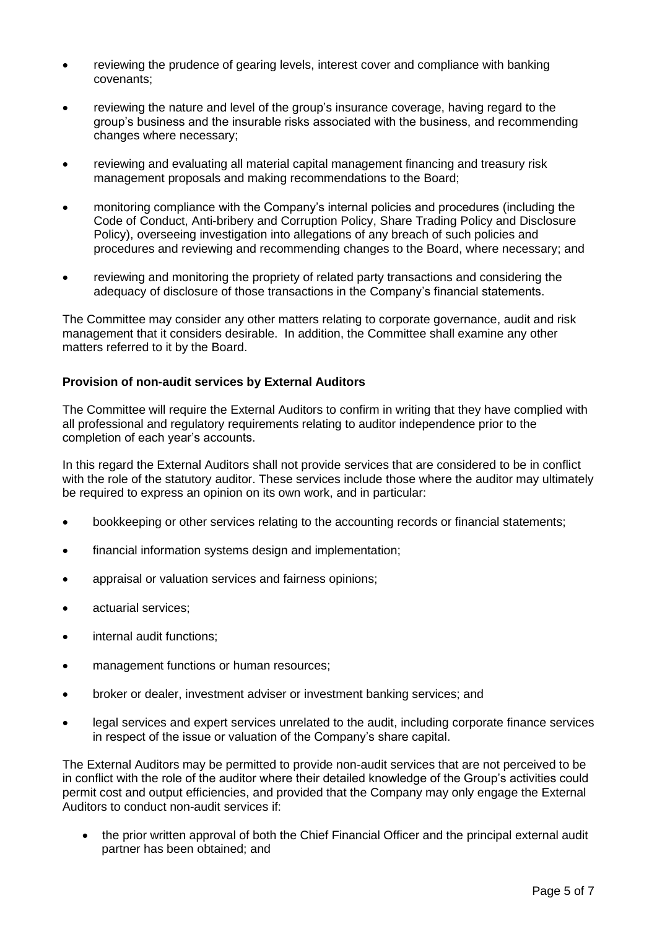- reviewing the prudence of gearing levels, interest cover and compliance with banking covenants;
- reviewing the nature and level of the group's insurance coverage, having regard to the group's business and the insurable risks associated with the business, and recommending changes where necessary;
- reviewing and evaluating all material capital management financing and treasury risk management proposals and making recommendations to the Board;
- monitoring compliance with the Company's internal policies and procedures (including the Code of Conduct, Anti-bribery and Corruption Policy, Share Trading Policy and Disclosure Policy), overseeing investigation into allegations of any breach of such policies and procedures and reviewing and recommending changes to the Board, where necessary; and
- reviewing and monitoring the propriety of related party transactions and considering the adequacy of disclosure of those transactions in the Company's financial statements.

The Committee may consider any other matters relating to corporate governance, audit and risk management that it considers desirable. In addition, the Committee shall examine any other matters referred to it by the Board.

## **Provision of non-audit services by External Auditors**

The Committee will require the External Auditors to confirm in writing that they have complied with all professional and regulatory requirements relating to auditor independence prior to the completion of each year's accounts.

In this regard the External Auditors shall not provide services that are considered to be in conflict with the role of the statutory auditor. These services include those where the auditor may ultimately be required to express an opinion on its own work, and in particular:

- bookkeeping or other services relating to the accounting records or financial statements;
- financial information systems design and implementation;
- appraisal or valuation services and fairness opinions;
- actuarial services;
- internal audit functions;
- management functions or human resources:
- broker or dealer, investment adviser or investment banking services; and
- legal services and expert services unrelated to the audit, including corporate finance services in respect of the issue or valuation of the Company's share capital.

The External Auditors may be permitted to provide non-audit services that are not perceived to be in conflict with the role of the auditor where their detailed knowledge of the Group's activities could permit cost and output efficiencies, and provided that the Company may only engage the External Auditors to conduct non-audit services if:

• the prior written approval of both the Chief Financial Officer and the principal external audit partner has been obtained; and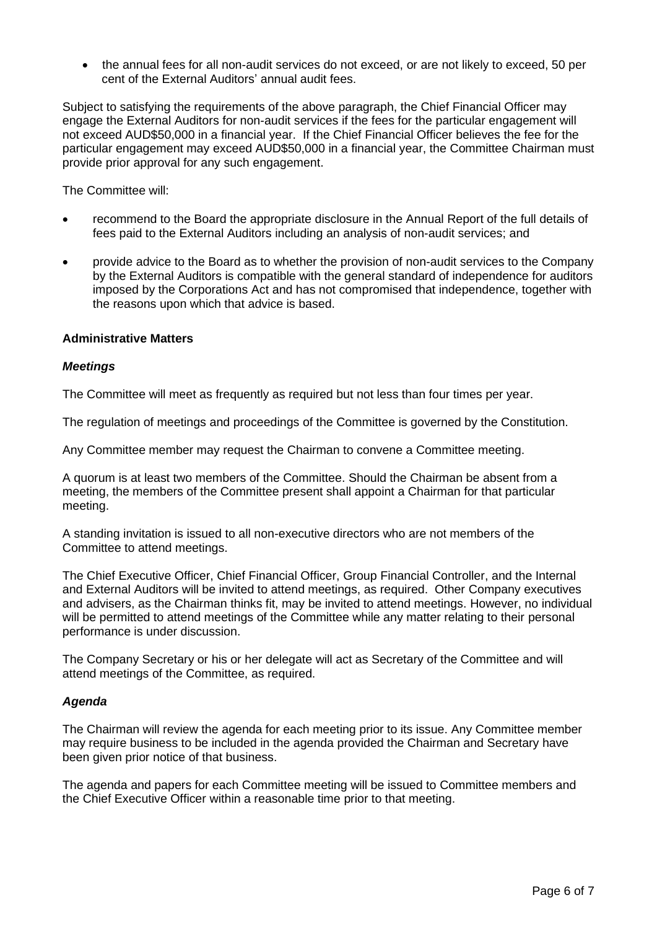• the annual fees for all non-audit services do not exceed, or are not likely to exceed, 50 per cent of the External Auditors' annual audit fees.

Subject to satisfying the requirements of the above paragraph, the Chief Financial Officer may engage the External Auditors for non-audit services if the fees for the particular engagement will not exceed AUD\$50,000 in a financial year. If the Chief Financial Officer believes the fee for the particular engagement may exceed AUD\$50,000 in a financial year, the Committee Chairman must provide prior approval for any such engagement.

The Committee will:

- recommend to the Board the appropriate disclosure in the Annual Report of the full details of fees paid to the External Auditors including an analysis of non-audit services; and
- provide advice to the Board as to whether the provision of non-audit services to the Company by the External Auditors is compatible with the general standard of independence for auditors imposed by the Corporations Act and has not compromised that independence, together with the reasons upon which that advice is based.

## **Administrative Matters**

## *Meetings*

The Committee will meet as frequently as required but not less than four times per year.

The regulation of meetings and proceedings of the Committee is governed by the Constitution.

Any Committee member may request the Chairman to convene a Committee meeting.

A quorum is at least two members of the Committee. Should the Chairman be absent from a meeting, the members of the Committee present shall appoint a Chairman for that particular meeting.

A standing invitation is issued to all non-executive directors who are not members of the Committee to attend meetings.

The Chief Executive Officer, Chief Financial Officer, Group Financial Controller, and the Internal and External Auditors will be invited to attend meetings, as required. Other Company executives and advisers, as the Chairman thinks fit, may be invited to attend meetings. However, no individual will be permitted to attend meetings of the Committee while any matter relating to their personal performance is under discussion.

The Company Secretary or his or her delegate will act as Secretary of the Committee and will attend meetings of the Committee, as required.

# *Agenda*

The Chairman will review the agenda for each meeting prior to its issue. Any Committee member may require business to be included in the agenda provided the Chairman and Secretary have been given prior notice of that business.

The agenda and papers for each Committee meeting will be issued to Committee members and the Chief Executive Officer within a reasonable time prior to that meeting.